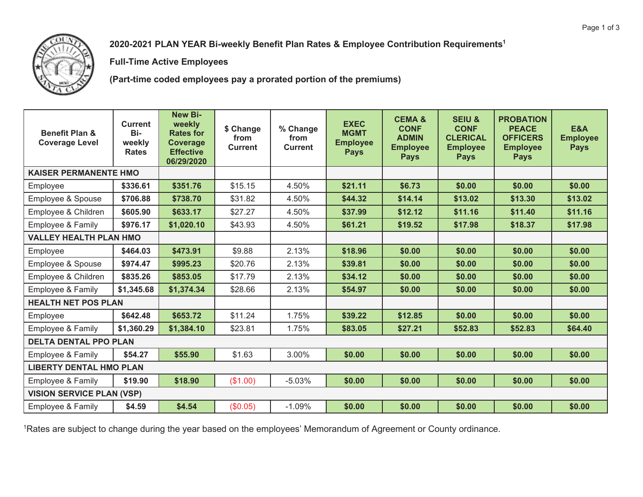

**2020-2021 PLAN YEAR Bi-weekly Benefit Plan Rates & Employee Contribution Requirements1**

**Full-Time Active Employees** 

**(Part-time coded employees pay a prorated portion of the premiums)** 

| <b>Benefit Plan &amp;</b><br><b>Coverage Level</b> | <b>Current</b><br>Bi-<br>weekly<br><b>Rates</b> | <b>New Bi-</b><br>weekly<br><b>Rates for</b><br>Coverage<br><b>Effective</b><br>06/29/2020 | \$ Change<br>from<br><b>Current</b> | % Change<br>from<br><b>Current</b> | <b>EXEC</b><br><b>MGMT</b><br><b>Employee</b><br><b>Pays</b> | <b>CEMA&amp;</b><br><b>CONF</b><br><b>ADMIN</b><br><b>Employee</b><br><b>Pays</b> | <b>SEIU &amp;</b><br><b>CONF</b><br><b>CLERICAL</b><br><b>Employee</b><br><b>Pays</b> | <b>PROBATION</b><br><b>PEACE</b><br><b>OFFICERS</b><br><b>Employee</b><br><b>Pays</b> | <b>E&amp;A</b><br><b>Employee</b><br><b>Pays</b> |
|----------------------------------------------------|-------------------------------------------------|--------------------------------------------------------------------------------------------|-------------------------------------|------------------------------------|--------------------------------------------------------------|-----------------------------------------------------------------------------------|---------------------------------------------------------------------------------------|---------------------------------------------------------------------------------------|--------------------------------------------------|
| <b>KAISER PERMANENTE HMO</b>                       |                                                 |                                                                                            |                                     |                                    |                                                              |                                                                                   |                                                                                       |                                                                                       |                                                  |
| Employee                                           | \$336.61                                        | \$351.76                                                                                   | \$15.15                             | 4.50%                              | \$21.11                                                      | \$6.73                                                                            | \$0.00                                                                                | \$0.00                                                                                | \$0.00                                           |
| Employee & Spouse                                  | \$706.88                                        | \$738.70                                                                                   | \$31.82                             | 4.50%                              | \$44.32                                                      | \$14.14                                                                           | \$13.02                                                                               | \$13.30                                                                               | \$13.02                                          |
| Employee & Children                                | \$605.90                                        | \$633.17                                                                                   | \$27.27                             | 4.50%                              | \$37.99                                                      | \$12.12                                                                           | \$11.16                                                                               | \$11.40                                                                               | \$11.16                                          |
| Employee & Family                                  | \$976.17                                        | \$1,020.10                                                                                 | \$43.93                             | 4.50%                              | \$61.21                                                      | \$19.52                                                                           | \$17.98                                                                               | \$18.37                                                                               | \$17.98                                          |
| <b>VALLEY HEALTH PLAN HMO</b>                      |                                                 |                                                                                            |                                     |                                    |                                                              |                                                                                   |                                                                                       |                                                                                       |                                                  |
| Employee                                           | \$464.03                                        | \$473.91                                                                                   | \$9.88                              | 2.13%                              | \$18.96                                                      | \$0.00                                                                            | \$0.00                                                                                | \$0.00                                                                                | \$0.00                                           |
| Employee & Spouse                                  | \$974.47                                        | \$995.23                                                                                   | \$20.76                             | 2.13%                              | \$39.81                                                      | \$0.00                                                                            | \$0.00                                                                                | \$0.00                                                                                | \$0.00                                           |
| Employee & Children                                | \$835.26                                        | \$853.05                                                                                   | \$17.79                             | 2.13%                              | \$34.12                                                      | \$0.00                                                                            | \$0.00                                                                                | \$0.00                                                                                | \$0.00                                           |
| Employee & Family                                  | \$1,345.68                                      | \$1,374.34                                                                                 | \$28.66                             | 2.13%                              | \$54.97                                                      | \$0.00                                                                            | \$0.00                                                                                | \$0.00                                                                                | \$0.00                                           |
| <b>HEALTH NET POS PLAN</b>                         |                                                 |                                                                                            |                                     |                                    |                                                              |                                                                                   |                                                                                       |                                                                                       |                                                  |
| Employee                                           | \$642.48                                        | \$653.72                                                                                   | \$11.24                             | 1.75%                              | \$39.22                                                      | \$12.85                                                                           | \$0.00                                                                                | \$0.00                                                                                | \$0.00                                           |
| Employee & Family                                  | \$1,360.29                                      | \$1,384.10                                                                                 | \$23.81                             | 1.75%                              | \$83.05                                                      | \$27.21                                                                           | \$52.83                                                                               | \$52.83                                                                               | \$64.40                                          |
| <b>DELTA DENTAL PPO PLAN</b>                       |                                                 |                                                                                            |                                     |                                    |                                                              |                                                                                   |                                                                                       |                                                                                       |                                                  |
| Employee & Family                                  | \$54.27                                         | \$55.90                                                                                    | \$1.63                              | 3.00%                              | \$0.00                                                       | \$0.00                                                                            | \$0.00                                                                                | \$0.00                                                                                | \$0.00                                           |
|                                                    | <b>LIBERTY DENTAL HMO PLAN</b>                  |                                                                                            |                                     |                                    |                                                              |                                                                                   |                                                                                       |                                                                                       |                                                  |
| Employee & Family                                  | \$19.90                                         | \$18.90                                                                                    | (\$1.00)                            | $-5.03%$                           | \$0.00                                                       | \$0.00                                                                            | \$0.00                                                                                | \$0.00                                                                                | \$0.00                                           |
| <b>VISION SERVICE PLAN (VSP)</b>                   |                                                 |                                                                                            |                                     |                                    |                                                              |                                                                                   |                                                                                       |                                                                                       |                                                  |
| Employee & Family                                  | \$4.59                                          | \$4.54                                                                                     | (\$0.05)                            | $-1.09%$                           | \$0.00                                                       | \$0.00                                                                            | \$0.00                                                                                | \$0.00                                                                                | \$0.00                                           |

<sup>1</sup>Rates are subject to change during the year based on the employees' Memorandum of Agreement or County ordinance.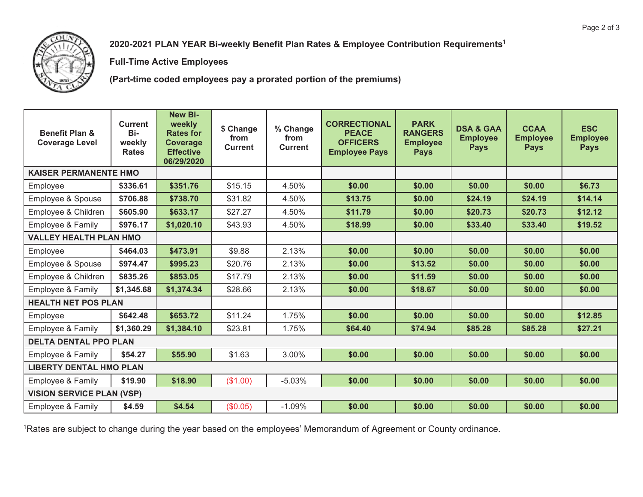

**2020-2021 PLAN YEAR Bi-weekly Benefit Plan Rates & Employee Contribution Requirements1**

**Full-Time Active Employees** 

**(Part-time coded employees pay a prorated portion of the premiums)** 

| <b>Benefit Plan &amp;</b><br><b>Coverage Level</b> | <b>Current</b><br>Bi-<br>weekly<br><b>Rates</b> | New Bi-<br>weekly<br><b>Rates for</b><br><b>Coverage</b><br><b>Effective</b><br>06/29/2020 | \$ Change<br>from<br><b>Current</b> | % Change<br>from<br><b>Current</b> | <b>CORRECTIONAL</b><br><b>PEACE</b><br><b>OFFICERS</b><br><b>Employee Pays</b> | <b>PARK</b><br><b>RANGERS</b><br><b>Employee</b><br><b>Pays</b> | <b>DSA &amp; GAA</b><br><b>Employee</b><br><b>Pays</b> | <b>CCAA</b><br><b>Employee</b><br><b>Pays</b> | <b>ESC</b><br><b>Employee</b><br><b>Pays</b> |
|----------------------------------------------------|-------------------------------------------------|--------------------------------------------------------------------------------------------|-------------------------------------|------------------------------------|--------------------------------------------------------------------------------|-----------------------------------------------------------------|--------------------------------------------------------|-----------------------------------------------|----------------------------------------------|
| <b>KAISER PERMANENTE HMO</b>                       |                                                 |                                                                                            |                                     |                                    |                                                                                |                                                                 |                                                        |                                               |                                              |
| Employee                                           | \$336.61                                        | \$351.76                                                                                   | \$15.15                             | 4.50%                              | \$0.00                                                                         | \$0.00                                                          | \$0.00                                                 | \$0.00                                        | \$6.73                                       |
| Employee & Spouse                                  | \$706.88                                        | \$738.70                                                                                   | \$31.82                             | 4.50%                              | \$13.75                                                                        | \$0.00                                                          | \$24.19                                                | \$24.19                                       | \$14.14                                      |
| Employee & Children                                | \$605.90                                        | \$633.17                                                                                   | \$27.27                             | 4.50%                              | \$11.79                                                                        | \$0.00                                                          | \$20.73                                                | \$20.73                                       | \$12.12                                      |
| Employee & Family                                  | \$976.17                                        | \$1,020.10                                                                                 | \$43.93                             | 4.50%                              | \$18.99                                                                        | \$0.00                                                          | \$33.40                                                | \$33.40                                       | \$19.52                                      |
| <b>VALLEY HEALTH PLAN HMO</b>                      |                                                 |                                                                                            |                                     |                                    |                                                                                |                                                                 |                                                        |                                               |                                              |
| Employee                                           | \$464.03                                        | \$473.91                                                                                   | \$9.88                              | 2.13%                              | \$0.00                                                                         | \$0.00                                                          | \$0.00                                                 | \$0.00                                        | \$0.00                                       |
| <b>Employee &amp; Spouse</b>                       | \$974.47                                        | \$995.23                                                                                   | \$20.76                             | 2.13%                              | \$0.00                                                                         | \$13.52                                                         | \$0.00                                                 | \$0.00                                        | \$0.00                                       |
| Employee & Children                                | \$835.26                                        | \$853.05                                                                                   | \$17.79                             | 2.13%                              | \$0.00                                                                         | \$11.59                                                         | \$0.00                                                 | \$0.00                                        | \$0.00                                       |
| Employee & Family                                  | \$1,345.68                                      | \$1,374.34                                                                                 | \$28.66                             | 2.13%                              | \$0.00                                                                         | \$18.67                                                         | \$0.00                                                 | \$0.00                                        | \$0.00                                       |
| <b>HEALTH NET POS PLAN</b>                         |                                                 |                                                                                            |                                     |                                    |                                                                                |                                                                 |                                                        |                                               |                                              |
| Employee                                           | \$642.48                                        | \$653.72                                                                                   | \$11.24                             | 1.75%                              | \$0.00                                                                         | \$0.00                                                          | \$0.00                                                 | \$0.00                                        | \$12.85                                      |
| Employee & Family                                  | \$1,360.29                                      | \$1,384.10                                                                                 | \$23.81                             | 1.75%                              | \$64.40                                                                        | \$74.94                                                         | \$85.28                                                | \$85.28                                       | \$27.21                                      |
| <b>DELTA DENTAL PPO PLAN</b>                       |                                                 |                                                                                            |                                     |                                    |                                                                                |                                                                 |                                                        |                                               |                                              |
| Employee & Family                                  | \$54.27                                         | \$55.90                                                                                    | \$1.63                              | 3.00%                              | \$0.00                                                                         | \$0.00                                                          | \$0.00                                                 | \$0.00                                        | \$0.00                                       |
| <b>LIBERTY DENTAL HMO PLAN</b>                     |                                                 |                                                                                            |                                     |                                    |                                                                                |                                                                 |                                                        |                                               |                                              |
| Employee & Family                                  | \$19.90                                         | \$18.90                                                                                    | (\$1.00)                            | $-5.03%$                           | \$0.00                                                                         | \$0.00                                                          | \$0.00                                                 | \$0.00                                        | \$0.00                                       |
| <b>VISION SERVICE PLAN (VSP)</b>                   |                                                 |                                                                                            |                                     |                                    |                                                                                |                                                                 |                                                        |                                               |                                              |
| <b>Employee &amp; Family</b>                       | \$4.59                                          | \$4.54                                                                                     | (\$0.05)                            | $-1.09%$                           | \$0.00                                                                         | \$0.00                                                          | \$0.00                                                 | \$0.00                                        | \$0.00                                       |

<sup>1</sup>Rates are subject to change during the year based on the employees' Memorandum of Agreement or County ordinance.